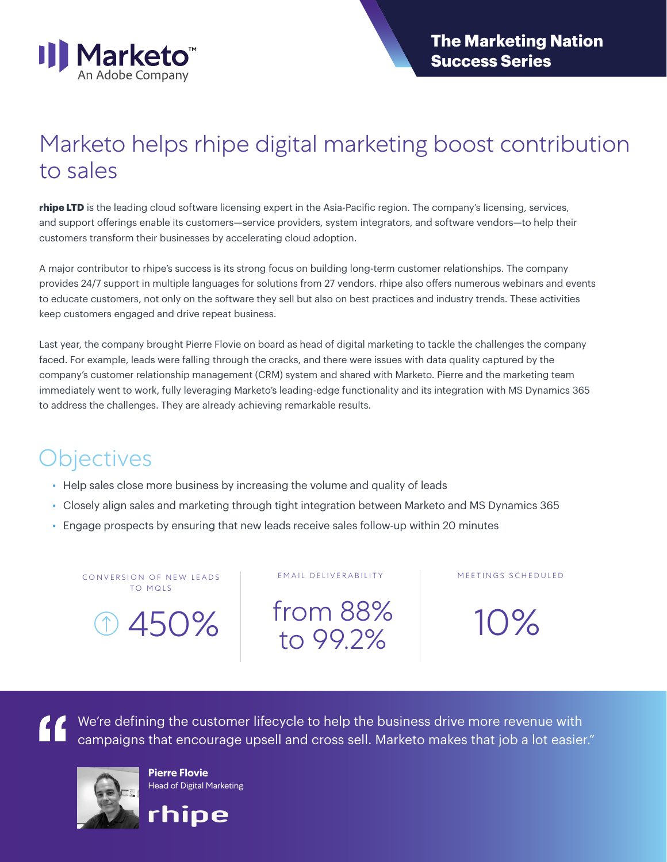

### Marketo helps rhipe digital marketing boost contribution to sales

**rhipe LTD** is the leading cloud software licensing expert in the Asia-Pacific region. The company's licensing, services, and support offerings enable its customers—service providers, system integrators, and software vendors—to help their customers transform their businesses by accelerating cloud adoption.

A major contributor to rhipe's success is its strong focus on building long-term customer relationships. The company provides 24/7 support in multiple languages for solutions from 27 vendors. rhipe also offers numerous webinars and events to educate customers, not only on the software they sell but also on best practices and industry trends. These activities keep customers engaged and drive repeat business.

Last year, the company brought Pierre Flovie on board as head of digital marketing to tackle the challenges the company faced. For example, leads were falling through the cracks, and there were issues with data quality captured by the company's customer relationship management (CRM) system and shared with Marketo. Pierre and the marketing team immediately went to work, fully leveraging Marketo's leading-edge functionality and its integration with MS Dynamics 365 to address the challenges. They are already achieving remarkable results.

#### **Objectives**

- Help sales close more business by increasing the volume and quality of leads
- Closely align sales and marketing through tight integration between Marketo and MS Dynamics 365
- Engage prospects by ensuring that new leads receive sales follow-up within 20 minutes

CONVERSION OF NEW LEADS | EMAIL DELIVERABILITY TO MQLS

450% from 88% to 99.2% 10%

MEETINGS SCHEDULED

We're defining the customer lifecycle to help the business drive more revenue with campaigns that encourage upsell and cross sell. Marketo makes that job a lot easier."



**Pierre Flovie** Head of Digital Marketing

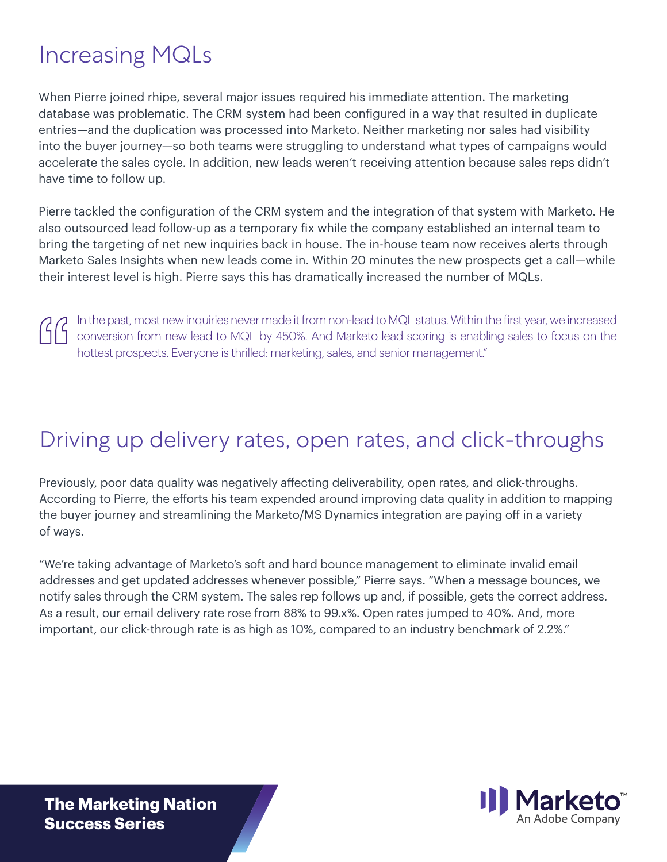# Increasing MQLs

When Pierre joined rhipe, several major issues required his immediate attention. The marketing database was problematic. The CRM system had been configured in a way that resulted in duplicate entries—and the duplication was processed into Marketo. Neither marketing nor sales had visibility into the buyer journey—so both teams were struggling to understand what types of campaigns would accelerate the sales cycle. In addition, new leads weren't receiving attention because sales reps didn't have time to follow up.

Pierre tackled the configuration of the CRM system and the integration of that system with Marketo. He also outsourced lead follow-up as a temporary fix while the company established an internal team to bring the targeting of net new inquiries back in house. The in-house team now receives alerts through Marketo Sales Insights when new leads come in. Within 20 minutes the new prospects get a call—while their interest level is high. Pierre says this has dramatically increased the number of MQLs.

In the past, most new inquiries never made it from non-lead to MQL status. Within the first year, we increased conversion from new lead to MQL by 450%. And Marketo lead scoring is enabling sales to focus on the hottest prospects. Everyone is thrilled: marketing, sales, and senior management."

#### Driving up delivery rates, open rates, and click-throughs

Previously, poor data quality was negatively affecting deliverability, open rates, and click-throughs. According to Pierre, the efforts his team expended around improving data quality in addition to mapping the buyer journey and streamlining the Marketo/MS Dynamics integration are paying off in a variety of ways.

"We're taking advantage of Marketo's soft and hard bounce management to eliminate invalid email addresses and get updated addresses whenever possible," Pierre says. "When a message bounces, we notify sales through the CRM system. The sales rep follows up and, if possible, gets the correct address. As a result, our email delivery rate rose from 88% to 99.x%. Open rates jumped to 40%. And, more important, our click-through rate is as high as 10%, compared to an industry benchmark of 2.2%."



**The Marketing Nation Success Series**